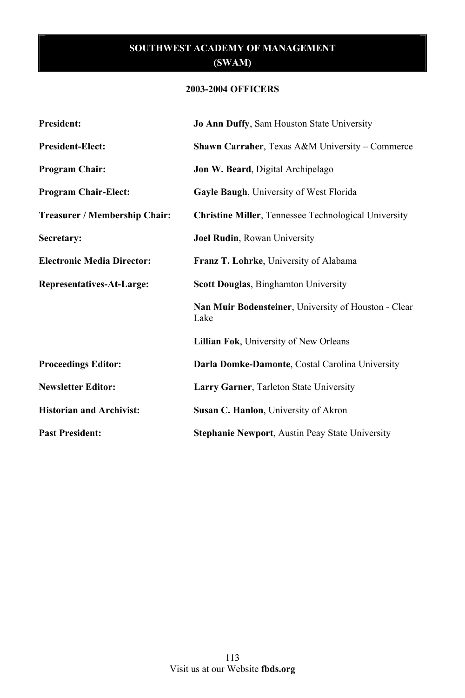# **2003-2004 OFFICERS**

| <b>President:</b>                 | Jo Ann Duffy, Sam Houston State University                   |
|-----------------------------------|--------------------------------------------------------------|
| <b>President-Elect:</b>           | Shawn Carraher, Texas A&M University - Commerce              |
| <b>Program Chair:</b>             | <b>Jon W. Beard</b> , Digital Archipelago                    |
| <b>Program Chair-Elect:</b>       | Gayle Baugh, University of West Florida                      |
| Treasurer / Membership Chair:     | <b>Christine Miller, Tennessee Technological University</b>  |
| Secretary:                        | Joel Rudin, Rowan University                                 |
| <b>Electronic Media Director:</b> | Franz T. Lohrke, University of Alabama                       |
| Representatives-At-Large:         | <b>Scott Douglas, Binghamton University</b>                  |
|                                   | Nan Muir Bodensteiner, University of Houston - Clear<br>Lake |
|                                   | Lillian Fok, University of New Orleans                       |
| <b>Proceedings Editor:</b>        | Darla Domke-Damonte, Costal Carolina University              |
| <b>Newsletter Editor:</b>         | Larry Garner, Tarleton State University                      |
| <b>Historian and Archivist:</b>   | Susan C. Hanlon, University of Akron                         |
| <b>Past President:</b>            | <b>Stephanie Newport, Austin Peay State University</b>       |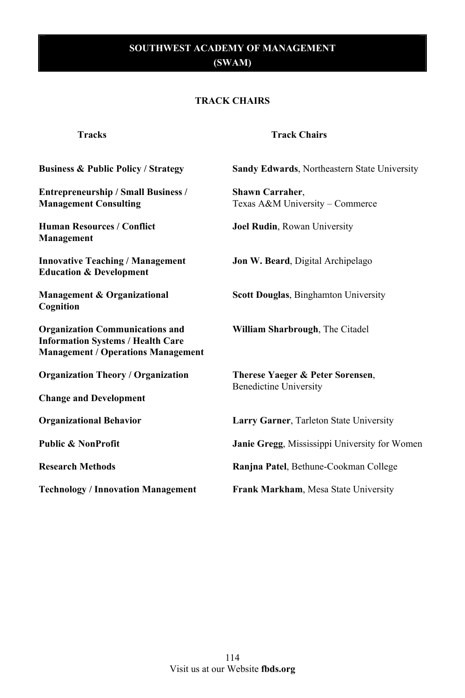#### **TRACK CHAIRS**

| <b>Tracks</b>                                                                                                                   | <b>Track Chairs</b>                                               |
|---------------------------------------------------------------------------------------------------------------------------------|-------------------------------------------------------------------|
| <b>Business &amp; Public Policy / Strategy</b>                                                                                  | <b>Sandy Edwards, Northeastern State University</b>               |
| <b>Entrepreneurship / Small Business /</b><br><b>Management Consulting</b>                                                      | <b>Shawn Carraher.</b><br>Texas A&M University - Commerce         |
| <b>Human Resources / Conflict</b><br>Management                                                                                 | <b>Joel Rudin, Rowan University</b>                               |
| <b>Innovative Teaching / Management</b><br><b>Education &amp; Development</b>                                                   | <b>Jon W. Beard, Digital Archipelago</b>                          |
| Management & Organizational<br>Cognition                                                                                        | <b>Scott Douglas, Binghamton University</b>                       |
| <b>Organization Communications and</b><br><b>Information Systems / Health Care</b><br><b>Management / Operations Management</b> | William Sharbrough, The Citadel                                   |
| <b>Organization Theory / Organization</b>                                                                                       | Therese Yaeger & Peter Sorensen,<br><b>Benedictine University</b> |
| <b>Change and Development</b>                                                                                                   |                                                                   |
| <b>Organizational Behavior</b>                                                                                                  | Larry Garner, Tarleton State University                           |
| <b>Public &amp; NonProfit</b>                                                                                                   | Janie Gregg, Mississippi University for Women                     |
| <b>Research Methods</b>                                                                                                         | Ranjna Patel, Bethune-Cookman College                             |
| <b>Technology / Innovation Management</b>                                                                                       | Frank Markham, Mesa State University                              |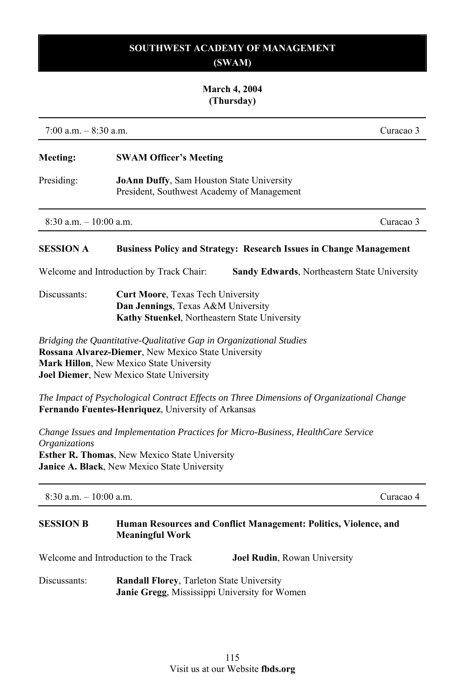## **March 4, 2004 (Thursday)**

7:00 a.m. – 8:30 a.m. Curacao 3

# **Meeting: SWAM Officer's Meeting**

Presiding: **JoAnn Duffy**, Sam Houston State University President, Southwest Academy of Management

 $8:30 \text{ a m} = 10:00 \text{ a m}$ 

#### **SESSION A Business Policy and Strategy: Research Issues in Change Management**

Welcome and Introduction by Track Chair: **Sandy Edwards**, Northeastern State University

Discussants: **Curt Moore**, Texas Tech University **Dan Jennings**, Texas A&M University **Kathy Stuenkel**, Northeastern State University

*Bridging the Quantitative-Qualitative Gap in Organizational Studies* **Rossana Alvarez-Diemer**, New Mexico State University **Mark Hillon**, New Mexico State University **Joel Diemer**, New Mexico State University

*The Impact of Psychological Contract Effects on Three Dimensions of Organizational Change* **Fernando Fuentes-Henriquez**, University of Arkansas

*Change Issues and Implementation Practices for Micro-Business, HealthCare Service Organizations* **Esther R. Thomas**, New Mexico State University **Janice A. Black**, New Mexico State University

| $8:30$ a.m. $-10:00$ a.m. |                                       | Curacao 4                                                        |
|---------------------------|---------------------------------------|------------------------------------------------------------------|
| <b>SESSION B</b>          | <b>Meaningful Work</b>                | Human Resources and Conflict Management: Politics, Violence, and |
|                           | Welcome and Introduction to the Track | <b>Joel Rudin, Rowan University</b>                              |

Discussants: **Randall Florey**, Tarleton State University  **Janie Gregg**, Mississippi University for Women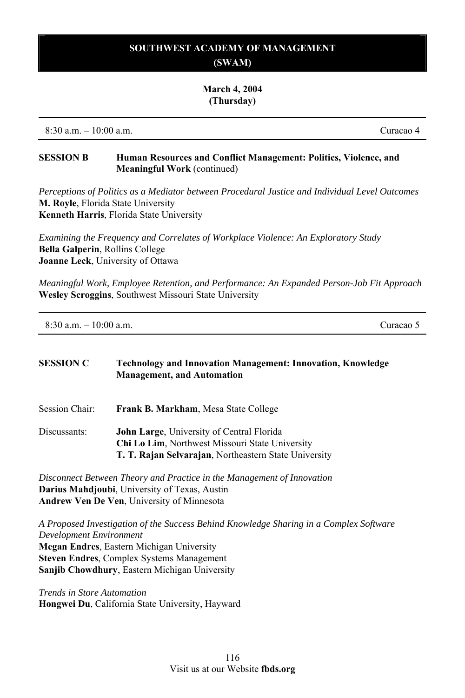#### **March 4, 2004 (Thursday)**

8:30 a.m. – 10:00 a.m. Curacao 4

#### **SESSION B Human Resources and Conflict Management: Politics, Violence, and Meaningful Work** (continued)

*Perceptions of Politics as a Mediator between Procedural Justice and Individual Level Outcomes*  **M. Royle**, Florida State University **Kenneth Harris**, Florida State University

*Examining the Frequency and Correlates of Workplace Violence: An Exploratory Study*  **Bella Galperin**, Rollins College **Joanne Leck**, University of Ottawa

*Meaningful Work, Employee Retention, and Performance: An Expanded Person-Job Fit Approach*  **Wesley Scroggins**, Southwest Missouri State University

| $8:30$ a.m. $-10:00$ a.m. | Curacao 5 |
|---------------------------|-----------|
|                           |           |

# **SESSION C Technology and Innovation Management: Innovation, Knowledge Management, and Automation**  Session Chair: **Frank B. Markham**, Mesa State College Discussants: **John Large**, University of Central Florida **Chi Lo Lim**, Northwest Missouri State University **T. T. Rajan Selvarajan**, Northeastern State University

*Disconnect Between Theory and Practice in the Management of Innovation*  **Darius Mahdjoubi**, University of Texas, Austin **Andrew Ven De Ven**, University of Minnesota

*A Proposed Investigation of the Success Behind Knowledge Sharing in a Complex Software Development Environment*  **Megan Endres**, Eastern Michigan University **Steven Endres**, Complex Systems Management **Sanjib Chowdhury**, Eastern Michigan University

*Trends in Store Automation*  **Hongwei Du**, California State University, Hayward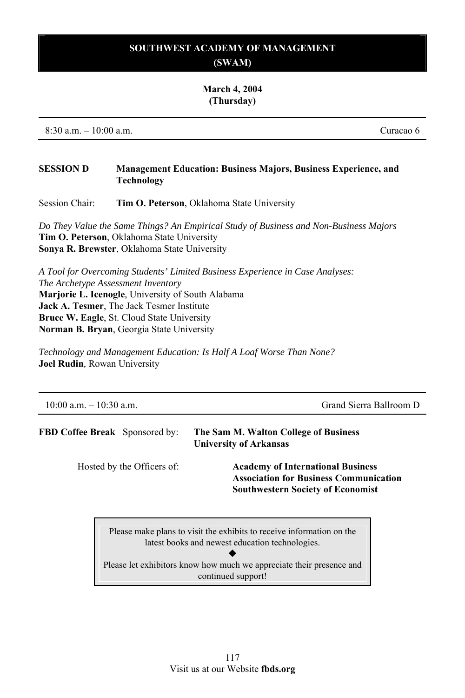#### **March 4, 2004 (Thursday)**

8:30 a.m. – 10:00 a.m. Curacao 6

## **SESSION D Management Education: Business Majors, Business Experience, and Technology**

Session Chair: **Tim O. Peterson**, Oklahoma State University

*Do They Value the Same Things? An Empirical Study of Business and Non-Business Majors*  **Tim O. Peterson**, Oklahoma State University **Sonya R. Brewster**, Oklahoma State University

*A Tool for Overcoming Students' Limited Business Experience in Case Analyses: The Archetype Assessment Inventory* **Marjorie L. Icenogle**, University of South Alabama **Jack A. Tesmer**, The Jack Tesmer Institute **Bruce W. Eagle**, St. Cloud State University **Norman B. Bryan**, Georgia State University

*Technology and Management Education: Is Half A Loaf Worse Than None?*  **Joel Rudin***,* Rowan University

| $10:00$ a.m. $-10:30$ a.m.            | Grand Sierra Ballroom D                                                                                                               |  |
|---------------------------------------|---------------------------------------------------------------------------------------------------------------------------------------|--|
| <b>FBD Coffee Break</b> Sponsored by: | The Sam M. Walton College of Business<br><b>University of Arkansas</b>                                                                |  |
| Hosted by the Officers of:            | <b>Academy of International Business</b><br><b>Association for Business Communication</b><br><b>Southwestern Society of Economist</b> |  |
|                                       | Please make plans to visit the exhibits to receive information on the<br>latest books and newest education technologies.              |  |

Please let exhibitors know how much we appreciate their presence and continued support!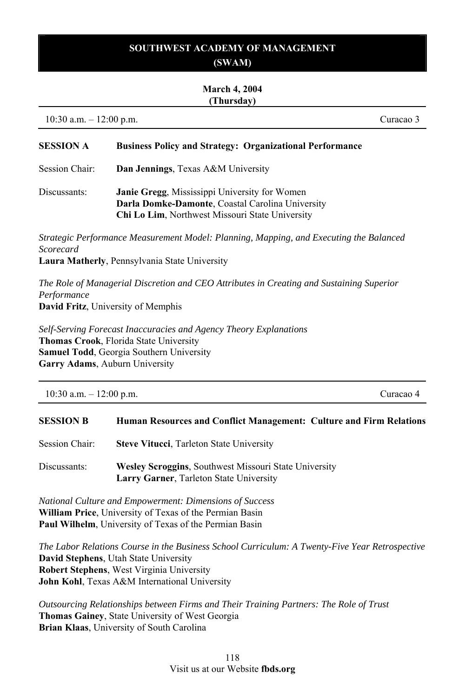# **SOUTHWEST ACADEMY OF MANAGEMENT**

# **(SWAM)**

#### **March 4, 2004 (Thursday)**

10:30 a.m. – 12:00 p.m. Curacao 3

## **SESSION A Business Policy and Strategy: Organizational Performance**

- Session Chair: **Dan Jennings**, Texas A&M University
- Discussants: **Janie Gregg**, Mississippi University for Women **Darla Domke-Damonte**, Coastal Carolina University **Chi Lo Lim**, Northwest Missouri State University

*Strategic Performance Measurement Model: Planning, Mapping, and Executing the Balanced Scorecard*

**Laura Matherly**, Pennsylvania State University

*The Role of Managerial Discretion and CEO Attributes in Creating and Sustaining Superior Performance* **David Fritz**, University of Memphis

*Self-Serving Forecast Inaccuracies and Agency Theory Explanations* **Thomas Crook**, Florida State University **Samuel Todd**, Georgia Southern University **Garry Adams**, Auburn University

| $10:30$ a.m. $-12:00$ p.m. | Curacao 4 |
|----------------------------|-----------|
|                            |           |

#### **SESSION B Human Resources and Conflict Management: Culture and Firm Relations**

- Session Chair: **Steve Vitucci**, Tarleton State University
- Discussants: **Wesley Scroggins**, Southwest Missouri State University  **Larry Garner**, Tarleton State University

*National Culture and Empowerment: Dimensions of Success*  **William Price**, University of Texas of the Permian Basin **Paul Wilhelm**, University of Texas of the Permian Basin

*The Labor Relations Course in the Business School Curriculum: A Twenty-Five Year Retrospective* **David Stephens**, Utah State University **Robert Stephens**, West Virginia University **John Kohl**, Texas A&M International University

*Outsourcing Relationships between Firms and Their Training Partners: The Role of Trust*  **Thomas Gainey**, State University of West Georgia **Brian Klaas**, University of South Carolina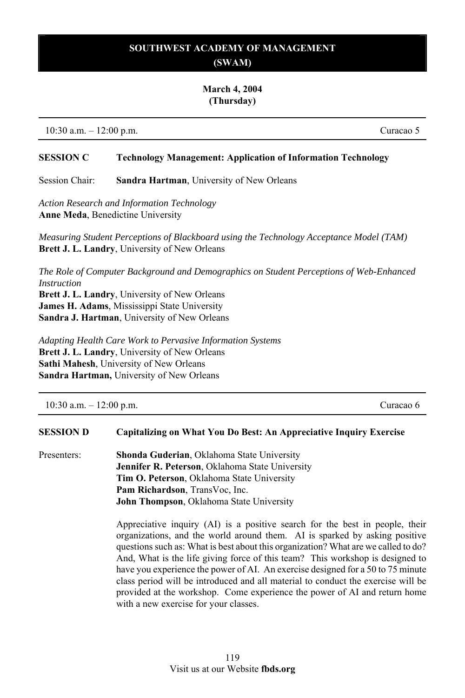#### **March 4, 2004 (Thursday)**

10:30 a.m. – 12:00 p.m. Curacao 5

#### **SESSION C Technology Management: Application of Information Technology**

Session Chair: **Sandra Hartman**, University of New Orleans

*Action Research and Information Technology*  **Anne Meda**, Benedictine University

*Measuring Student Perceptions of Blackboard using the Technology Acceptance Model (TAM)* **Brett J. L. Landry**, University of New Orleans

*The Role of Computer Background and Demographics on Student Perceptions of Web-Enhanced Instruction* 

**Brett J. L. Landry**, University of New Orleans **James H. Adams**, Mississippi State University **Sandra J. Hartman**, University of New Orleans

*Adapting Health Care Work to Pervasive Information Systems*  **Brett J. L. Landry**, University of New Orleans **Sathi Mahesh**, University of New Orleans **Sandra Hartman,** University of New Orleans

10:30 a.m. – 12:00 p.m. Curacao 6

#### **SESSION D Capitalizing on What You Do Best: An Appreciative Inquiry Exercise**

Presenters: **Shonda Guderian**, Oklahoma State University **Jennifer R. Peterson**, Oklahoma State University **Tim O. Peterson**, Oklahoma State University **Pam Richardson**, TransVoc, Inc. **John Thompson**, Oklahoma State University

> Appreciative inquiry (AI) is a positive search for the best in people, their organizations, and the world around them. AI is sparked by asking positive questions such as: What is best about this organization? What are we called to do? And, What is the life giving force of this team? This workshop is designed to have you experience the power of AI. An exercise designed for a 50 to 75 minute class period will be introduced and all material to conduct the exercise will be provided at the workshop. Come experience the power of AI and return home with a new exercise for your classes.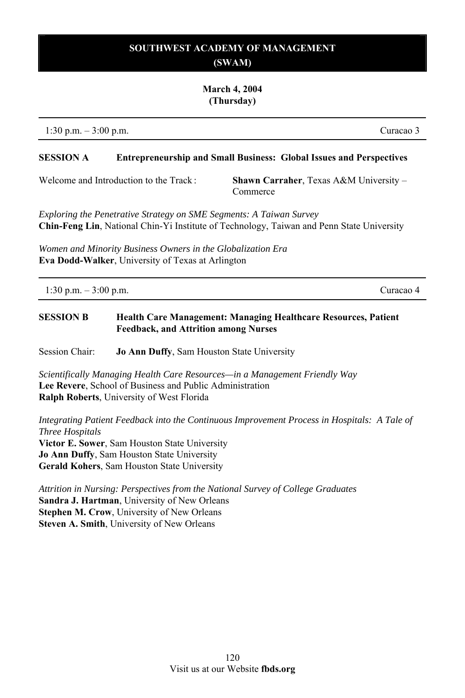#### **March 4, 2004 (Thursday)**

1:30 p.m. – 3:00 p.m. Curacao 3

#### **SESSION A Entrepreneurship and Small Business: Global Issues and Perspectives**

Welcome and Introduction to the Track : **Shawn Carraher**, Texas A&M University – Commerce

*Exploring the Penetrative Strategy on SME Segments: A Taiwan Survey*  **Chin-Feng Lin**, National Chin-Yi Institute of Technology, Taiwan and Penn State University

*Women and Minority Business Owners in the Globalization Era*  **Eva Dodd-Walker**, University of Texas at Arlington

| 1:30 p.m. $-3:00$ p.m. | Curacao 4 |
|------------------------|-----------|
|                        |           |

# **SESSION B Health Care Management: Managing Healthcare Resources, Patient Feedback, and Attrition among Nurses**

Session Chair: **Jo Ann Duffy**, Sam Houston State University

*Scientifically Managing Health Care Resources—in a Management Friendly Way*  **Lee Revere**, School of Business and Public Administration **Ralph Roberts**, University of West Florida

*Integrating Patient Feedback into the Continuous Improvement Process in Hospitals: A Tale of Three Hospitals*  **Victor E. Sower**, Sam Houston State University **Jo Ann Duffy**, Sam Houston State University **Gerald Kohers**, Sam Houston State University

*Attrition in Nursing: Perspectives from the National Survey of College Graduates*  **Sandra J. Hartman**, University of New Orleans **Stephen M. Crow**, University of New Orleans **Steven A. Smith**, University of New Orleans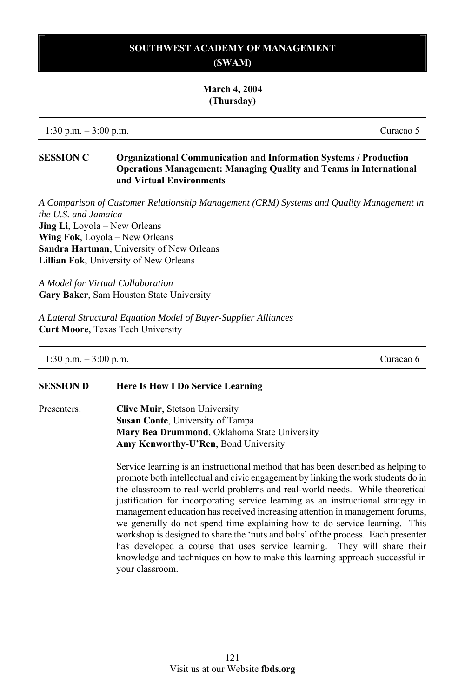**March 4, 2004 (Thursday)** 

1:30 p.m. – 3:00 p.m. Curacao 5

#### **SESSION C Organizational Communication and Information Systems / Production Operations Management: Managing Quality and Teams in International and Virtual Environments**

*A Comparison of Customer Relationship Management (CRM) Systems and Quality Management in the U.S. and Jamaica*  **Jing Li**, Loyola – New Orleans **Wing Fok**, Loyola – New Orleans **Sandra Hartman**, University of New Orleans **Lillian Fok**, University of New Orleans

*A Model for Virtual Collaboration*  **Gary Baker**, Sam Houston State University

*A Lateral Structural Equation Model of Buyer-Supplier Alliances*  **Curt Moore**, Texas Tech University

| $1:30$ p.m. $-3:00$ p.m. | Curacao 6 |
|--------------------------|-----------|
|--------------------------|-----------|

#### **SESSION D Here Is How I Do Service Learning**

Presenters: **Clive Muir**, Stetson University **Susan Conte**, University of Tampa **Mary Bea Drummond**, Oklahoma State University **Amy Kenworthy-U'Ren**, Bond University

> Service learning is an instructional method that has been described as helping to promote both intellectual and civic engagement by linking the work students do in the classroom to real-world problems and real-world needs. While theoretical justification for incorporating service learning as an instructional strategy in management education has received increasing attention in management forums, we generally do not spend time explaining how to do service learning. This workshop is designed to share the 'nuts and bolts' of the process. Each presenter has developed a course that uses service learning. They will share their knowledge and techniques on how to make this learning approach successful in your classroom.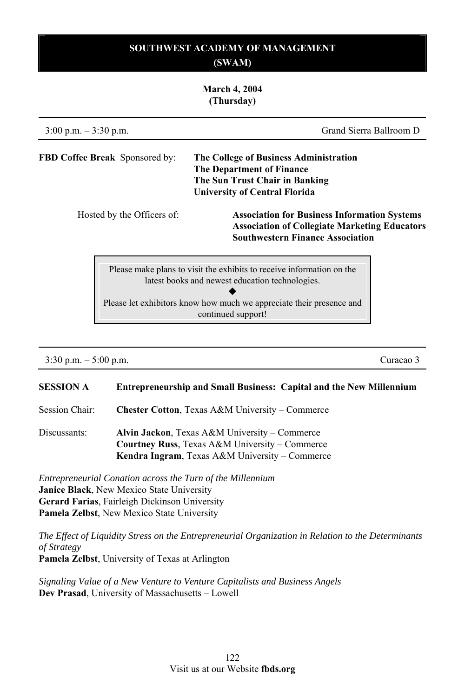### **March 4, 2004 (Thursday)**

| $3:00$ p.m. $-3:30$ p.m.              | Grand Sierra Ballroom D                                                                                                                                |
|---------------------------------------|--------------------------------------------------------------------------------------------------------------------------------------------------------|
| <b>FBD Coffee Break</b> Sponsored by: | The College of Business Administration<br><b>The Department of Finance</b><br>The Sun Trust Chair in Banking<br><b>University of Central Florida</b>   |
| Hosted by the Officers of:            | <b>Association for Business Information Systems</b><br><b>Association of Collegiate Marketing Educators</b><br><b>Southwestern Finance Association</b> |
|                                       | Please make plans to visit the exhibits to receive information on the<br>latest books and newest education technologies.                               |

Please let exhibitors know how much we appreciate their presence and continued support!

3:30 p.m. – 5:00 p.m. Curacao 3

## **SESSION A Entrepreneurship and Small Business: Capital and the New Millennium**

Session Chair: **Chester Cotton**, Texas A&M University – Commerce

Discussants: **Alvin Jackon**, Texas A&M University – Commerce **Courtney Russ**, Texas A&M University – Commerce **Kendra Ingram**, Texas A&M University – Commerce

*Entrepreneurial Conation across the Turn of the Millennium*  **Janice Black**, New Mexico State University **Gerard Farias**, Fairleigh Dickinson University **Pamela Zelbst**, New Mexico State University

*The Effect of Liquidity Stress on the Entrepreneurial Organization in Relation to the Determinants of Strategy* 

**Pamela Zelbst**, University of Texas at Arlington

*Signaling Value of a New Venture to Venture Capitalists and Business Angels*  **Dev Prasad**, University of Massachusetts – Lowell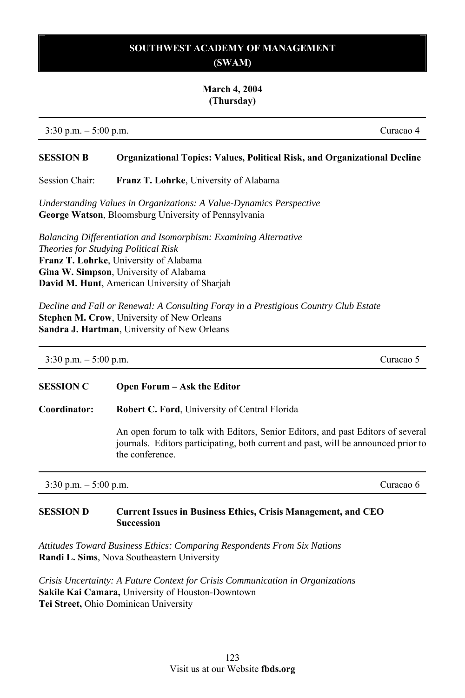#### **March 4, 2004 (Thursday)**

3:30 p.m. – 5:00 p.m. Curacao 4

#### **SESSION B Organizational Topics: Values, Political Risk, and Organizational Decline**

Session Chair: **Franz T. Lohrke**, University of Alabama

*Understanding Values in Organizations: A Value-Dynamics Perspective*  **George Watson**, Bloomsburg University of Pennsylvania

*Balancing Differentiation and Isomorphism: Examining Alternative Theories for Studying Political Risk*  **Franz T. Lohrke**, University of Alabama **Gina W. Simpson**, University of Alabama **David M. Hunt**, American University of Sharjah

*Decline and Fall or Renewal: A Consulting Foray in a Prestigious Country Club Estate*  **Stephen M. Crow**, University of New Orleans **Sandra J. Hartman**, University of New Orleans

| $3:30$ p.m. $-5:00$ p.m. |                             | Curacao 5 |
|--------------------------|-----------------------------|-----------|
| <b>SESSION C</b>         | Open Forum – Ask the Editor |           |

**Coordinator: Robert C. Ford**, University of Central Florida

An open forum to talk with Editors, Senior Editors, and past Editors of several journals. Editors participating, both current and past, will be announced prior to the conference.

3:30 p.m. – 5:00 p.m. Curacao 6

# **SESSION D Current Issues in Business Ethics, Crisis Management, and CEO Succession**

*Attitudes Toward Business Ethics: Comparing Respondents From Six Nations*  **Randi L. Sims**, Nova Southeastern University

*Crisis Uncertainty: A Future Context for Crisis Communication in Organizations*  **Sakile Kai Camara,** University of Houston-Downtown **Tei Street,** Ohio Dominican University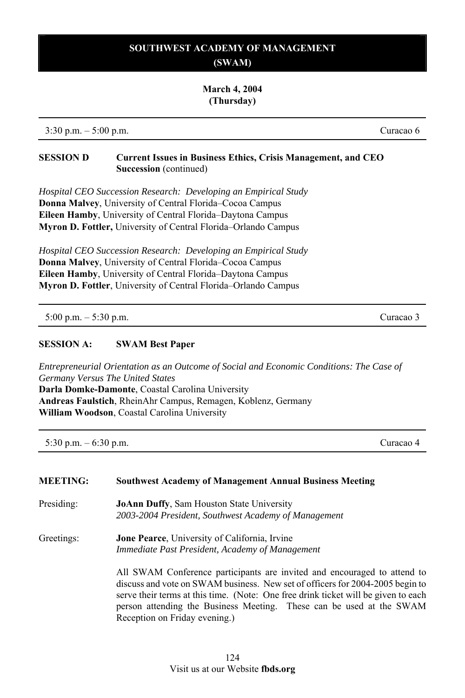#### **March 4, 2004 (Thursday)**

3:30 p.m. – 5:00 p.m. Curacao 6

#### **SESSION D Current Issues in Business Ethics, Crisis Management, and CEO Succession** (continued)

*Hospital CEO Succession Research: Developing an Empirical Study* **Donna Malvey**, University of Central Florida–Cocoa Campus **Eileen Hamby**, University of Central Florida–Daytona Campus **Myron D. Fottler,** University of Central Florida–Orlando Campus

*Hospital CEO Succession Research: Developing an Empirical Study*  **Donna Malvey**, University of Central Florida–Cocoa Campus **Eileen Hamby**, University of Central Florida–Daytona Campus **Myron D. Fottler**, University of Central Florida–Orlando Campus

5:00 p.m. – 5:30 p.m. Curacao 3

#### **SESSION A: SWAM Best Paper**

*Entrepreneurial Orientation as an Outcome of Social and Economic Conditions: The Case of Germany Versus The United States* **Darla Domke-Damonte**, Coastal Carolina University

**Andreas Faulstich**, RheinAhr Campus, Remagen, Koblenz, Germany **William Woodson**, Coastal Carolina University

5:30 p.m. – 6:30 p.m. Curacao 4

| <b>MEETING:</b> | <b>Southwest Academy of Management Annual Business Meeting</b>                                                                                                                                                                                                                                                                                           |
|-----------------|----------------------------------------------------------------------------------------------------------------------------------------------------------------------------------------------------------------------------------------------------------------------------------------------------------------------------------------------------------|
| Presiding:      | <b>JoAnn Duffy, Sam Houston State University</b>                                                                                                                                                                                                                                                                                                         |
|                 | 2003-2004 President, Southwest Academy of Management                                                                                                                                                                                                                                                                                                     |
| Greetings:      | <b>Jone Pearce</b> , University of California, Irvine                                                                                                                                                                                                                                                                                                    |
|                 | Immediate Past President, Academy of Management                                                                                                                                                                                                                                                                                                          |
|                 | All SWAM Conference participants are invited and encouraged to attend to<br>discuss and vote on SWAM business. New set of officers for 2004-2005 begin to<br>serve their terms at this time. (Note: One free drink ticket will be given to each<br>person attending the Business Meeting. These can be used at the SWAM<br>Reception on Friday evening.) |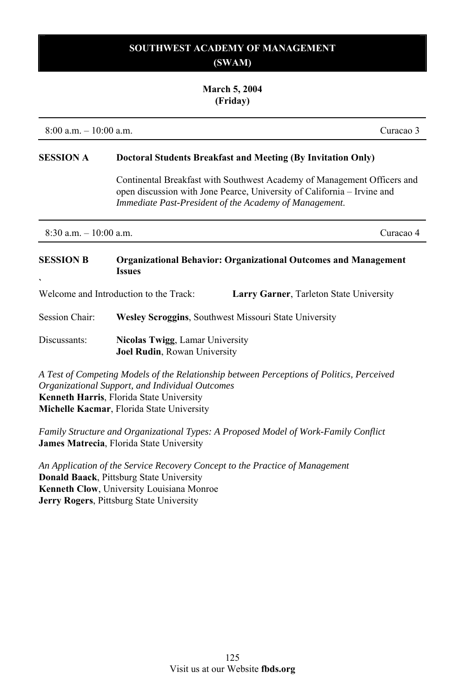#### **March 5, 2004 (Friday)**

8:00 a.m. – 10:00 a.m. Curacao 3

#### **SESSION A Doctoral Students Breakfast and Meeting (By Invitation Only)**

Continental Breakfast with Southwest Academy of Management Officers and open discussion with Jone Pearce, University of California – Irvine and *Immediate Past-President of the Academy of Management*.

8:30 a.m. – 10:00 a.m. Curacao 4

#### **SESSION B Organizational Behavior: Organizational Outcomes and Management Issues `**

Welcome and Introduction to the Track: **Larry Garner**, Tarleton State University

Session Chair: **Wesley Scroggins**, Southwest Missouri State University

Discussants: **Nicolas Twigg**, Lamar University **Joel Rudin**, Rowan University

*A Test of Competing Models of the Relationship between Perceptions of Politics, Perceived Organizational Support, and Individual Outcomes*  **Kenneth Harris**, Florida State University **Michelle Kacmar**, Florida State University

*Family Structure and Organizational Types: A Proposed Model of Work-Family Conflict*  **James Matrecia**, Florida State University

*An Application of the Service Recovery Concept to the Practice of Management*  **Donald Baack**, Pittsburg State University **Kenneth Clow**, University Louisiana Monroe **Jerry Rogers**, Pittsburg State University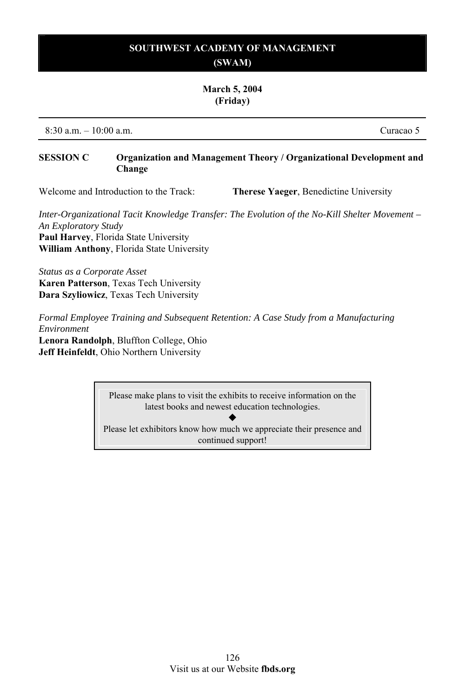#### **March 5, 2004 (Friday)**

8:30 a.m. – 10:00 a.m. Curacao 5

#### **SESSION C Organization and Management Theory / Organizational Development and Change**

Welcome and Introduction to the Track: **Therese Yaeger**, Benedictine University

*Inter-Organizational Tacit Knowledge Transfer: The Evolution of the No-Kill Shelter Movement – An Exploratory Study*  **Paul Harvey**, Florida State University **William Anthony**, Florida State University

*Status as a Corporate Asset*  **Karen Patterson**, Texas Tech University **Dara Szyliowicz**, Texas Tech University

*Formal Employee Training and Subsequent Retention: A Case Study from a Manufacturing Environment* 

**Lenora Randolph**, Bluffton College, Ohio **Jeff Heinfeldt**, Ohio Northern University

> Please make plans to visit the exhibits to receive information on the latest books and newest education technologies.

 $\blacklozenge$ Please let exhibitors know how much we appreciate their presence and continued support!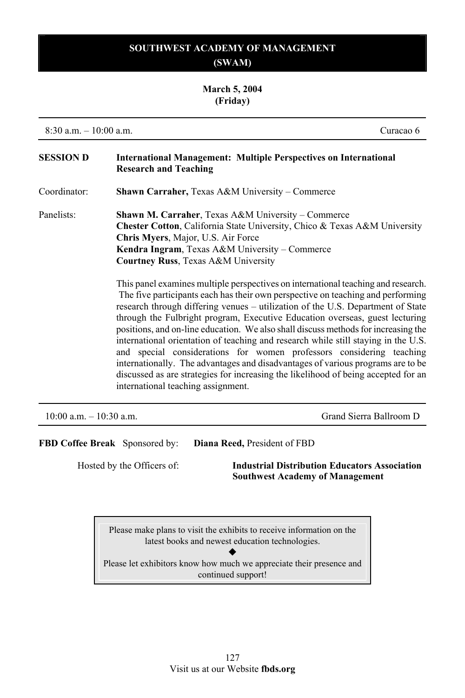# **March 5, 2004 (Friday)**

8:30 a.m. – 10:00 a.m. Curacao 6

| <b>SESSION D</b>           | <b>International Management: Multiple Perspectives on International</b><br><b>Research and Teaching</b>                                                                                                                                                                                                                                                                                                                                                                                                                                                                                                                                                                                                                                                                                                                                                                                                                                                                                                                                                                                            |
|----------------------------|----------------------------------------------------------------------------------------------------------------------------------------------------------------------------------------------------------------------------------------------------------------------------------------------------------------------------------------------------------------------------------------------------------------------------------------------------------------------------------------------------------------------------------------------------------------------------------------------------------------------------------------------------------------------------------------------------------------------------------------------------------------------------------------------------------------------------------------------------------------------------------------------------------------------------------------------------------------------------------------------------------------------------------------------------------------------------------------------------|
| Coordinator:               | <b>Shawn Carraher, Texas A&amp;M University – Commerce</b>                                                                                                                                                                                                                                                                                                                                                                                                                                                                                                                                                                                                                                                                                                                                                                                                                                                                                                                                                                                                                                         |
| Panelists:                 | <b>Shawn M. Carraher, Texas A&amp;M University – Commerce</b><br>Chester Cotton, California State University, Chico & Texas A&M University<br>Chris Myers, Major, U.S. Air Force<br>Kendra Ingram, Texas A&M University – Commerce<br><b>Courtney Russ, Texas A&amp;M University</b><br>This panel examines multiple perspectives on international teaching and research.<br>The five participants each has their own perspective on teaching and performing<br>research through differing venues - utilization of the U.S. Department of State<br>through the Fulbright program, Executive Education overseas, guest lecturing<br>positions, and on-line education. We also shall discuss methods for increasing the<br>international orientation of teaching and research while still staying in the U.S.<br>and special considerations for women professors considering teaching<br>internationally. The advantages and disadvantages of various programs are to be<br>discussed as are strategies for increasing the likelihood of being accepted for an<br>international teaching assignment. |
| $10:00$ a.m. $-10:30$ a.m. | Grand Sierra Ballroom D                                                                                                                                                                                                                                                                                                                                                                                                                                                                                                                                                                                                                                                                                                                                                                                                                                                                                                                                                                                                                                                                            |
|                            | <b>FBD Coffee Break</b> Sponsored by:<br>Diana Reed, President of FBD<br>Hosted by the Officers of:<br><b>Industrial Distribution Educators Association</b>                                                                                                                                                                                                                                                                                                                                                                                                                                                                                                                                                                                                                                                                                                                                                                                                                                                                                                                                        |

 **Southwest Academy of Management** 

Please make plans to visit the exhibits to receive information on the latest books and newest education technologies.  $\blacklozenge$ Please let exhibitors know how much we appreciate their presence and continued support!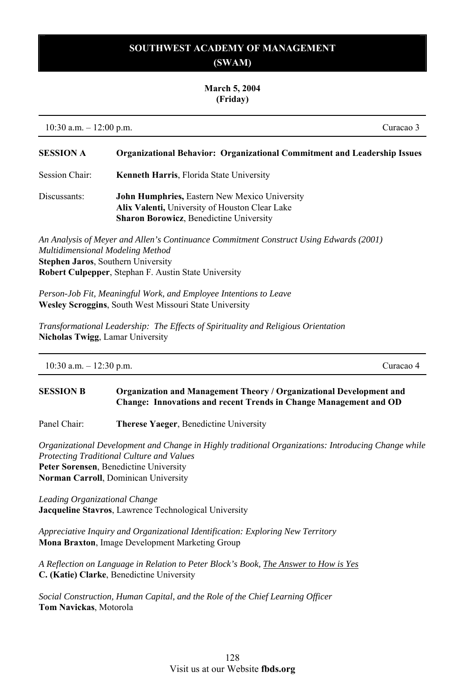# **SOUTHWEST ACADEMY OF MANAGEMENT**

# **(SWAM)**

#### **March 5, 2004 (Friday)**

10:30 a.m. – 12:00 p.m. Curacao 3

# **SESSION A Organizational Behavior: Organizational Commitment and Leadership Issues**  Session Chair: **Kenneth Harris**, Florida State University

Discussants: **John Humphries,** Eastern New Mexico University **Alix Valenti,** University of Houston Clear Lake **Sharon Borowicz**, Benedictine University

*An Analysis of Meyer and Allen's Continuance Commitment Construct Using Edwards (2001) Multidimensional Modeling Method*  **Stephen Jaros**, Southern University **Robert Culpepper**, Stephan F. Austin State University

*Person-Job Fit, Meaningful Work, and Employee Intentions to Leave*  **Wesley Scroggins**, South West Missouri State University

*Transformational Leadership: The Effects of Spirituality and Religious Orientation*  **Nicholas Twigg**, Lamar University

## **SESSION B Organization and Management Theory / Organizational Development and Change: Innovations and recent Trends in Change Management and OD**

Panel Chair: **Therese Yaeger**, Benedictine University

*Organizational Development and Change in Highly traditional Organizations: Introducing Change while Protecting Traditional Culture and Values*  **Peter Sorensen**, Benedictine University **Norman Carroll**, Dominican University

*Leading Organizational Change*  **Jacqueline Stavros**, Lawrence Technological University

*Appreciative Inquiry and Organizational Identification: Exploring New Territory*  **Mona Braxton**, Image Development Marketing Group

*A Reflection on Language in Relation to Peter Block's Book, The Answer to How is Yes* **C. (Katie) Clarke**, Benedictine University

*Social Construction, Human Capital, and the Role of the Chief Learning Officer*  **Tom Navickas**, Motorola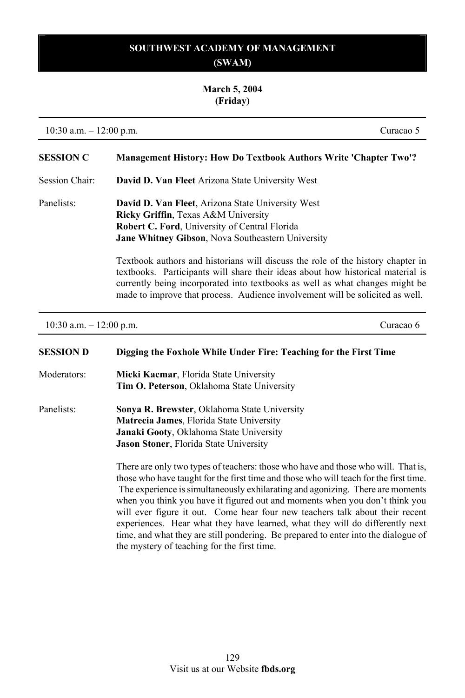# **March 5, 2004 (Friday)**

10:30 a.m. – 12:00 p.m. Curacao 5

| <b>SESSION C</b> | <b>Management History: How Do Textbook Authors Write 'Chapter Two'?</b>                                                                                                                                                                                                                                                             |
|------------------|-------------------------------------------------------------------------------------------------------------------------------------------------------------------------------------------------------------------------------------------------------------------------------------------------------------------------------------|
| Session Chair:   | David D. Van Fleet Arizona State University West                                                                                                                                                                                                                                                                                    |
| Panelists:       | <b>David D. Van Fleet, Arizona State University West</b><br><b>Ricky Griffin, Texas A&amp;M University</b><br><b>Robert C. Ford.</b> University of Central Florida<br><b>Jane Whitney Gibson, Nova Southeastern University</b>                                                                                                      |
|                  | Textbook authors and historians will discuss the role of the history chapter in<br>textbooks. Participants will share their ideas about how historical material is<br>currently being incorporated into textbooks as well as what changes might be<br>made to improve that process. Audience involvement will be solicited as well. |

10:30 a.m. – 12:00 p.m. Curacao 6

| <b>SESSION D</b> | Digging the Foxhole While Under Fire: Teaching for the First Time                     |
|------------------|---------------------------------------------------------------------------------------|
| Moderators:      | Micki Kacmar, Florida State University                                                |
|                  | Tim O. Peterson, Oklahoma State University                                            |
| Panelists:       | <b>Sonya R. Brewster, Oklahoma State University</b>                                   |
|                  | <b>Matrecia James, Florida State University</b>                                       |
|                  | Janaki Gooty, Oklahoma State University                                               |
|                  | <b>Jason Stoner, Florida State University</b>                                         |
|                  | There are only two types of teachers: those who have and those who will. That is,     |
|                  | those who have taught for the first time and those who will teach for the first time. |
|                  | The experience is simultaneously exhilarating and agonizing. There are moments        |
|                  | when you think you have it figured out and moments when you don't think you           |
|                  | will ever figure it out. Come hear four new teachers talk about their recent          |
|                  | experiences. Hear what they have learned, what they will do differently next          |
|                  | time, and what they are still pondering. Be prepared to enter into the dialogue of    |
|                  | the mystery of teaching for the first time.                                           |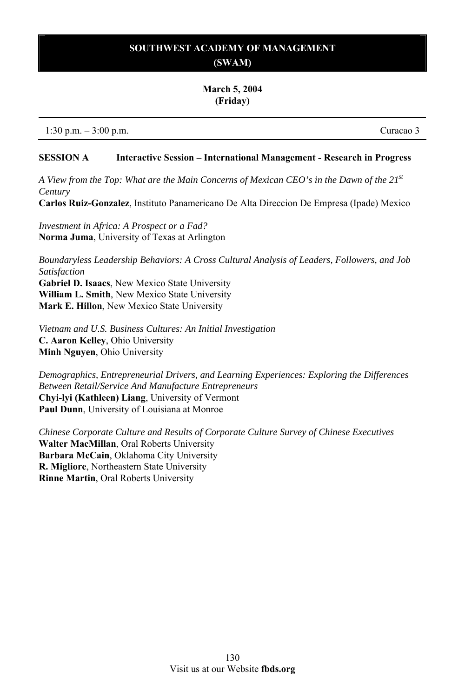#### **March 5, 2004 (Friday)**

1:30 p.m. – 3:00 p.m. Curacao 3

#### **SESSION A Interactive Session – International Management - Research in Progress**

*A View from the Top: What are the Main Concerns of Mexican CEO's in the Dawn of the 21st Century*  **Carlos Ruiz-Gonzalez**, Instituto Panamericano De Alta Direccion De Empresa (Ipade) Mexico

*Investment in Africa: A Prospect or a Fad?*  **Norma Juma**, University of Texas at Arlington

*Boundaryless Leadership Behaviors: A Cross Cultural Analysis of Leaders, Followers, and Job Satisfaction* 

**Gabriel D. Isaacs**, New Mexico State University **William L. Smith**, New Mexico State University **Mark E. Hillon**, New Mexico State University

*Vietnam and U.S. Business Cultures: An Initial Investigation*  **C. Aaron Kelley**, Ohio University **Minh Nguyen**, Ohio University

*Demographics, Entrepreneurial Drivers, and Learning Experiences: Exploring the Differences Between Retail/Service And Manufacture Entrepreneurs*  **Chyi-lyi (Kathleen) Liang**, University of Vermont **Paul Dunn**, University of Louisiana at Monroe

*Chinese Corporate Culture and Results of Corporate Culture Survey of Chinese Executives*  **Walter MacMillan**, Oral Roberts University **Barbara McCain**, Oklahoma City University **R. Migliore**, Northeastern State University **Rinne Martin**, Oral Roberts University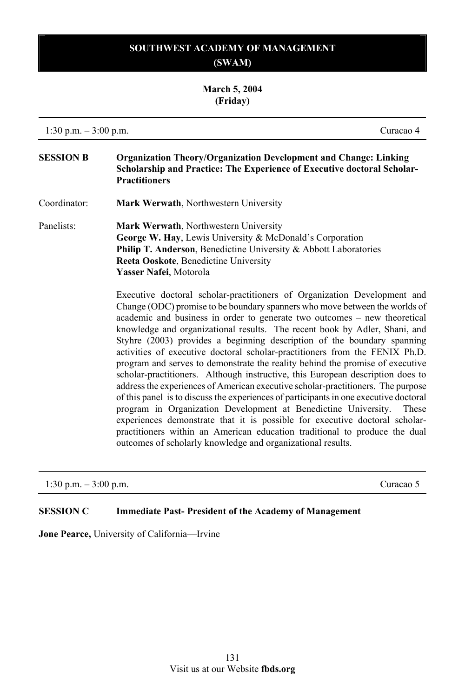#### **March 5, 2004 (Friday)**

1:30 p.m. – 3:00 p.m. Curacao 4

**SESSION B Organization Theory/Organization Development and Change: Linking Scholarship and Practice: The Experience of Executive doctoral Scholar-Practitioners** 

Coordinator: **Mark Werwath**, Northwestern University

Panelists: **Mark Werwath**, Northwestern University **George W. Hay**, Lewis University & McDonald's Corporation **Philip T. Anderson, Benedictine University & Abbott Laboratories Reeta Ooskote**, Benedictine University **Yasser Nafei**, Motorola

> Executive doctoral scholar-practitioners of Organization Development and Change (ODC) promise to be boundary spanners who move between the worlds of academic and business in order to generate two outcomes – new theoretical knowledge and organizational results. The recent book by Adler, Shani, and Styhre (2003) provides a beginning description of the boundary spanning activities of executive doctoral scholar-practitioners from the FENIX Ph.D. program and serves to demonstrate the reality behind the promise of executive scholar-practitioners. Although instructive, this European description does to address the experiences of American executive scholar-practitioners. The purpose of this panel is to discuss the experiences of participants in one executive doctoral program in Organization Development at Benedictine University. These experiences demonstrate that it is possible for executive doctoral scholarpractitioners within an American education traditional to produce the dual outcomes of scholarly knowledge and organizational results.

1:30 p.m. – 3:00 p.m. Curacao 5

#### **SESSION C Immediate Past- President of the Academy of Management**

**Jone Pearce,** University of California—Irvine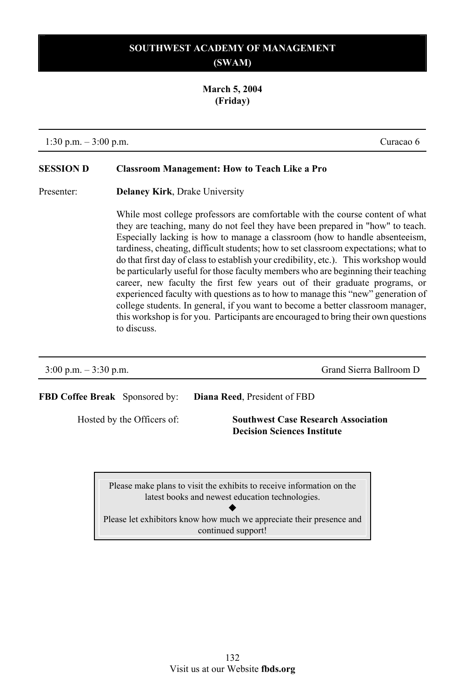**March 5, 2004 (Friday)**

1:30 p.m. – 3:00 p.m. Curacao 6

## **SESSION D Classroom Management: How to Teach Like a Pro**

Presenter: **Delaney Kirk**, Drake University

While most college professors are comfortable with the course content of what they are teaching, many do not feel they have been prepared in "how" to teach. Especially lacking is how to manage a classroom (how to handle absenteeism, tardiness, cheating, difficult students; how to set classroom expectations; what to do that first day of class to establish your credibility, etc.). This workshop would be particularly useful for those faculty members who are beginning their teaching career, new faculty the first few years out of their graduate programs, or experienced faculty with questions as to how to manage this "new" generation of college students. In general, if you want to become a better classroom manager, this workshop is for you. Participants are encouraged to bring their own questions to discuss.

| $3:00 \text{ p.m.} - 3:30 \text{ p.m.}$ | Grand Sierra Ballroom D                                                          |  |
|-----------------------------------------|----------------------------------------------------------------------------------|--|
| <b>FBD Coffee Break</b> Sponsored by:   | <b>Diana Reed.</b> President of FBD                                              |  |
| Hosted by the Officers of:              | <b>Southwest Case Research Association</b><br><b>Decision Sciences Institute</b> |  |
|                                         |                                                                                  |  |

Please make plans to visit the exhibits to receive information on the latest books and newest education technologies.  $\blacklozenge$ 

Please let exhibitors know how much we appreciate their presence and continued support!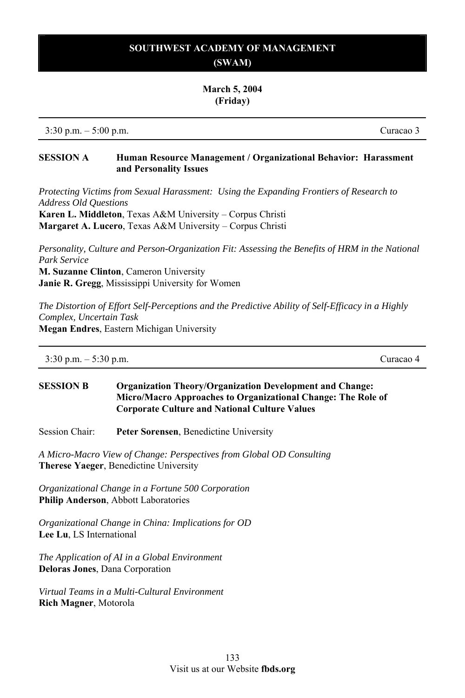#### **March 5, 2004 (Friday)**

3:30 p.m. – 5:00 p.m. Curacao 3

#### **SESSION A Human Resource Management / Organizational Behavior: Harassment and Personality Issues**

*Protecting Victims from Sexual Harassment: Using the Expanding Frontiers of Research to Address Old Questions* 

**Karen L. Middleton**, Texas A&M University – Corpus Christi **Margaret A. Lucero**, Texas A&M University – Corpus Christi

*Personality, Culture and Person-Organization Fit: Assessing the Benefits of HRM in the National Park Service* **M. Suzanne Clinton**, Cameron University

**Janie R. Gregg**, Mississippi University for Women

*The Distortion of Effort Self-Perceptions and the Predictive Ability of Self-Efficacy in a Highly Complex, Uncertain Task* **Megan Endres**, Eastern Michigan University

| $3:30$ p.m. $-5:30$ p.m. | Curacao 4 |
|--------------------------|-----------|
|--------------------------|-----------|

#### **SESSION B Organization Theory/Organization Development and Change: Micro/Macro Approaches to Organizational Change: The Role of Corporate Culture and National Culture Values**

Session Chair: **Peter Sorensen**, Benedictine University

*A Micro-Macro View of Change: Perspectives from Global OD Consulting*  **Therese Yaeger**, Benedictine University

*Organizational Change in a Fortune 500 Corporation*  **Philip Anderson**, Abbott Laboratories

*Organizational Change in China: Implications for OD*  **Lee Lu**, LS International

*The Application of AI in a Global Environment*  **Deloras Jones**, Dana Corporation

*Virtual Teams in a Multi-Cultural Environment*  **Rich Magner**, Motorola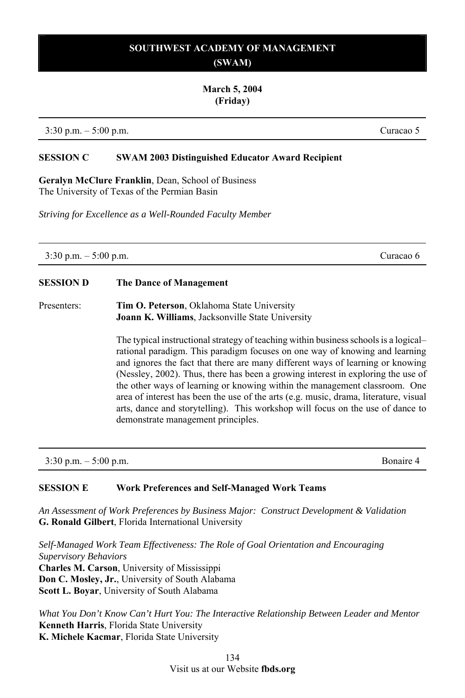#### **March 5, 2004 (Friday)**

3:30 p.m. – 5:00 p.m. Curacao 5

#### **SESSION C SWAM 2003 Distinguished Educator Award Recipient**

**Geralyn McClure Franklin**, Dean, School of Business The University of Texas of the Permian Basin

*Striving for Excellence as a Well-Rounded Faculty Member*

3:30 p.m. – 5:00 p.m. Curacao 6

# **SESSION D The Dance of Management**

Presenters: **Tim O. Peterson**, Oklahoma State University **Joann K. Williams**, Jacksonville State University

> The typical instructional strategy of teaching within business schools is a logical– rational paradigm. This paradigm focuses on one way of knowing and learning and ignores the fact that there are many different ways of learning or knowing (Nessley, 2002). Thus, there has been a growing interest in exploring the use of the other ways of learning or knowing within the management classroom. One area of interest has been the use of the arts (e.g. music, drama, literature, visual arts, dance and storytelling). This workshop will focus on the use of dance to demonstrate management principles.

3:30 p.m. – 5:00 p.m. Bonaire 4

## **SESSION E Work Preferences and Self-Managed Work Teams**

*An Assessment of Work Preferences by Business Major: Construct Development & Validation*  **G. Ronald Gilbert**, Florida International University

*Self-Managed Work Team Effectiveness: The Role of Goal Orientation and Encouraging Supervisory Behaviors*  **Charles M. Carson**, University of Mississippi **Don C. Mosley, Jr.**, University of South Alabama **Scott L. Boyar**, University of South Alabama

*What You Don't Know Can't Hurt You: The Interactive Relationship Between Leader and Mentor*  **Kenneth Harris**, Florida State University **K. Michele Kacmar**, Florida State University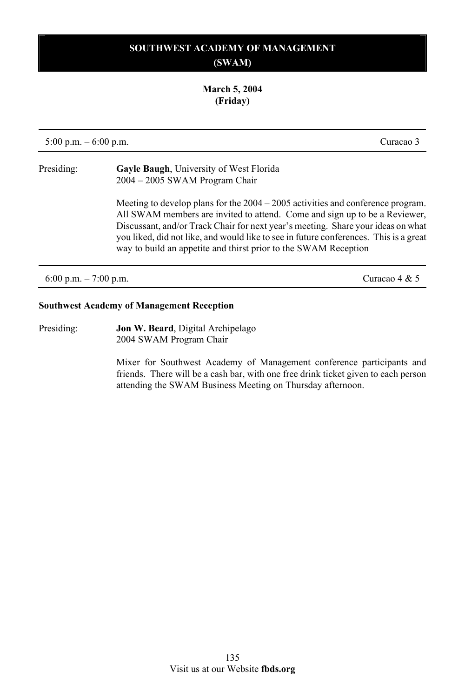#### **March 5, 2004 (Friday)**

5:00 p.m. – 6:00 p.m. Curacao 3 Presiding: **Gayle Baugh**, University of West Florida 2004 – 2005 SWAM Program Chair Meeting to develop plans for the 2004 – 2005 activities and conference program. All SWAM members are invited to attend. Come and sign up to be a Reviewer, Discussant, and/or Track Chair for next year's meeting. Share your ideas on what you liked, did not like, and would like to see in future conferences. This is a great way to build an appetite and thirst prior to the SWAM Reception 6:00 p.m. – 7:00 p.m. Curacao 4 & 5

#### **Southwest Academy of Management Reception**

Presiding: **Jon W. Beard**, Digital Archipelago 2004 SWAM Program Chair

> Mixer for Southwest Academy of Management conference participants and friends. There will be a cash bar, with one free drink ticket given to each person attending the SWAM Business Meeting on Thursday afternoon.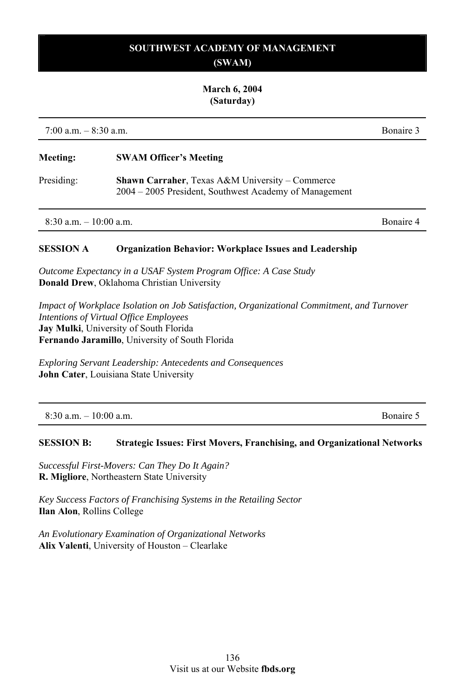# **SOUTHWEST ACADEMY OF MANAGEMENT**

## **(SWAM)**

#### **March 6, 2004 (Saturday)**

7:00 a.m. – 8:30 a.m. Bonaire 3

| <b>Meeting:</b>        | <b>SWAM Officer's Meeting</b>                                                                                        |           |
|------------------------|----------------------------------------------------------------------------------------------------------------------|-----------|
| Presiding:             | <b>Shawn Carraher, Texas A&amp;M University – Commerce</b><br>2004 – 2005 President, Southwest Academy of Management |           |
| $8.30 a m - 10.00 a m$ |                                                                                                                      | Bonaire 4 |

#### **SESSION A Organization Behavior: Workplace Issues and Leadership**

*Outcome Expectancy in a USAF System Program Office: A Case Study*  **Donald Drew**, Oklahoma Christian University

*Impact of Workplace Isolation on Job Satisfaction, Organizational Commitment, and Turnover Intentions of Virtual Office Employees* **Jay Mulki**, University of South Florida **Fernando Jaramillo**, University of South Florida

*Exploring Servant Leadership: Antecedents and Consequences*  **John Cater**, Louisiana State University

8:30 a.m. – 10:00 a.m. Bonaire 5

#### **SESSION B: Strategic Issues: First Movers, Franchising, and Organizational Networks**

*Successful First-Movers: Can They Do It Again?*  **R. Migliore**, Northeastern State University

*Key Success Factors of Franchising Systems in the Retailing Sector*  **Ilan Alon**, Rollins College

*An Evolutionary Examination of Organizational Networks*  **Alix Valenti**, University of Houston – Clearlake